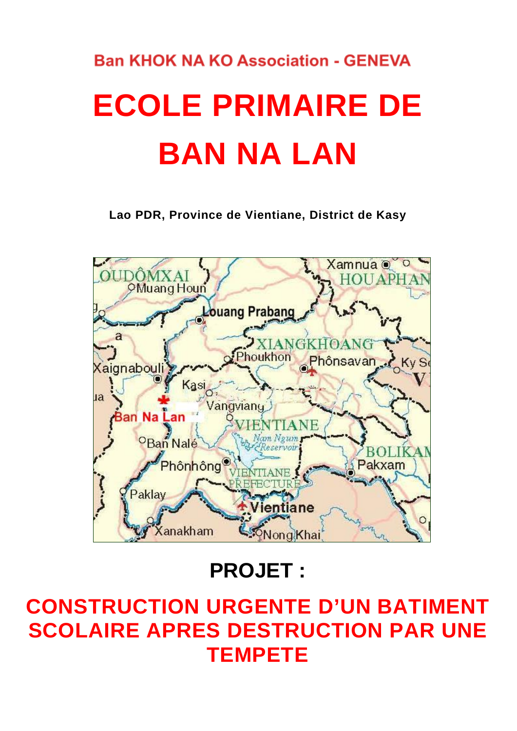# **Ban KHOK NA KO Association - GENEVA ECOLE PRIMAIRE DE BAN NA LAN**

**Lao PDR, Province de Vientiane, District de Kasy**



**PROJET :**

## **CONSTRUCTION URGENTE D'UN BATIMENT SCOLAIRE APRES DESTRUCTION PAR UNE TEMPETE**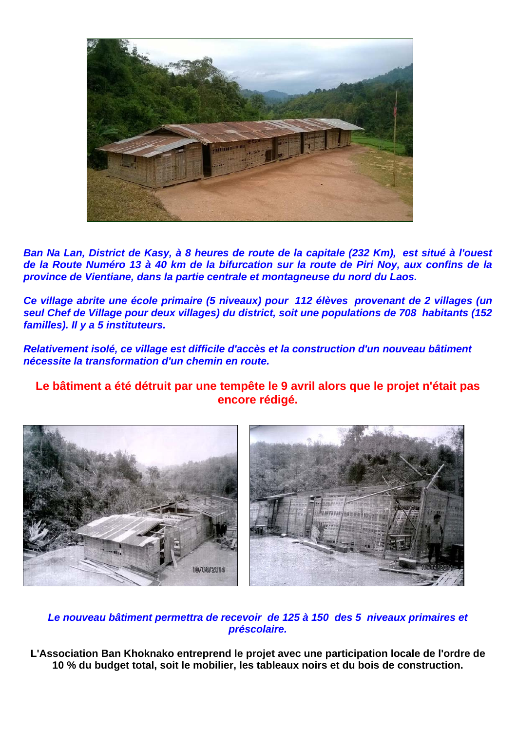

*Ban Na Lan, District de Kasy, à 8 heures de route de la capitale (232 Km), est situé à l'ouest de la Route Numéro 13 à 40 km de la bifurcation sur la route de Piri Noy, aux confins de la province de Vientiane, dans la partie centrale et montagneuse du nord du Laos.* 

*Ce village abrite une école primaire (5 niveaux) pour 112 élèves provenant de 2 villages (un seul Chef de Village pour deux villages) du district, soit une populations de 708 habitants (152 familles). Il y a 5 instituteurs.*

*Relativement isolé, ce village est difficile d'accès et la construction d'un nouveau bâtiment nécessite la transformation d'un chemin en route.* 

**Le bâtiment a été détruit par une tempête le 9 avril alors que le projet n'était pas encore rédigé.** 



#### *Le nouveau bâtiment permettra de recevoir de 125 à 150 des 5 niveaux primaires et préscolaire.*

**L'Association Ban Khoknako entreprend le projet avec une participation locale de l'ordre de 10 % du budget total, soit le mobilier, les tableaux noirs et du bois de construction.**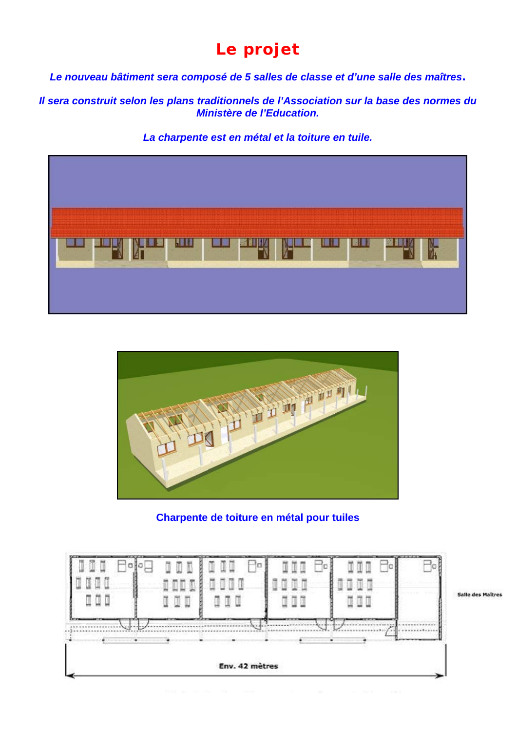## **Le projet**

*Le nouveau bâtiment sera composé de 5 salles de classe et d'une salle des maîtres.* 

*Il sera construit selon les plans traditionnels de l'Association sur la base des normes du Ministère de l'Education.* 

*La charpente est en métal et la toiture en tuile.* 





**Charpente de toiture en métal pour tuiles** 



**Salle des Maitres**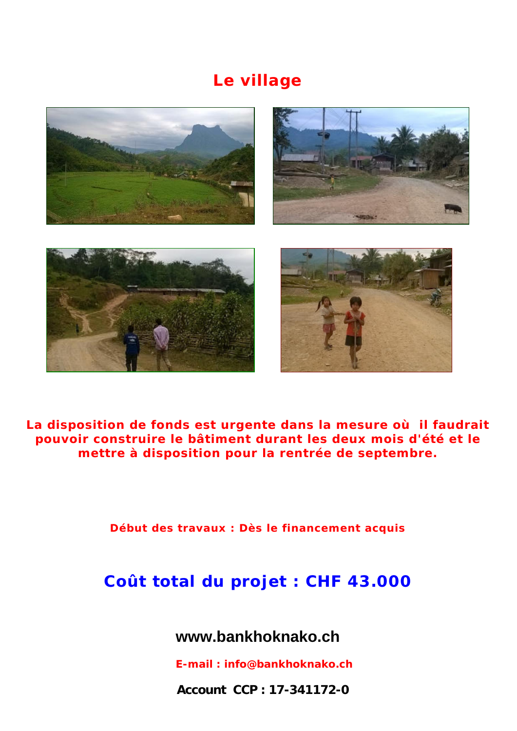## **Le village**







**La disposition de fonds est urgente dans la mesure où il faudrait pouvoir construire le bâtiment durant les deux mois d'été et le mettre à disposition pour la rentrée de septembre.**

**Début des travaux : Dès le financement acquis**

## **Coût total du projet : CHF 43.000**

**www.bankhoknako.ch** 

 *E-mail : info@bankhoknako.ch*

 **Account CCP : 17-341172-0**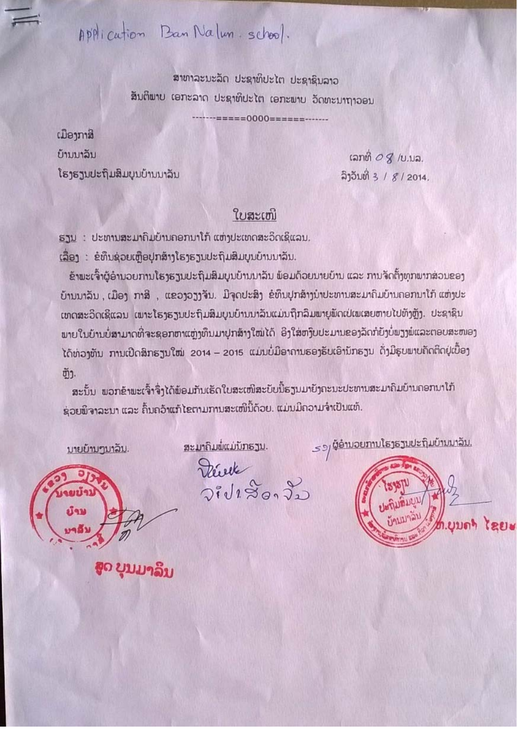Application Ban Nalun. school.

สาขาละบะลัก ปะຊาທິปะไต ปะຊาຊิบลาอ ສັນຕິພາບ ເອກະລາດ ປະຊາທິປະໄຕ ເອກະພາບ ວັດທະນາຖາວອນ

=====0000======-------

ເມືອງກາສີ บ้านนาอิน ໂຮງຮຽນປະຖິມສິມບູນບ້ານນາລິນ

เลทติ $OZ$  /บ.บล. ลิ้าอีมที่ 3 /  $8/2014$ .

## ໃບສະເໜີ

ຮຽນ : ປະທານສະມາຄົມບ້ານຄອກນາໂກ້ ແຫ່ງປະເທດສະວິດເຊີແລນ.

ເລື່ອງ : ຂໍທຶນຊ່ວຍເຫຼືອປຸກສ້າງໂຮງຮຽນປະຖິ້ມສິມບູນບ້ານນາລິນ.

ຂ້າພະເຈົ້າຜູ້ອຳນວຍການໂຮງຮຽນປະຖິມສິມບູນບ້ານນາລັນ ພ້ອມດ້ວຍນາຍບ້ານ ແລະ ການຈັດຕັ້ງທຸກພາກສ່ວນຂອງ ບ້ານນາລິນ, ເມືອງ ກາສີ, ແຂວງວຽງຈັນ. ມີຈຸດປະສິງ ຂໍທຶນປຸກສ້າງນຳປະທານສະມາຄົມບ້ານຄອກນາໂກ້ ແຫ່ງປະ ເທດສະວິດເຊີແລນ ເພາະໂຮງຮຽນປະຖິ້ມສິມບູນບ້ານນາລິນແມ່ນຖືກລິມພາຍຸພັດເປ່ເພເສຍຫາຍໄປທັງຫຼັງ. ປະຊາຊິນ ພາຍໃນບ້ານບໍ່ສາມາດທີ່ຈະຊອກຫາແຫຼ່ງທຶນມາປຸກສ້າງໃໝ່ໄດ້ ອິງໃສ່ຫງົບປະມານຂອງລັດກໍຍັງບໍ່ພຽງພໍແລະຕອບສະໜອງ ໄດ້ຫ່ວງຫັນ ການເປີດສິກຮຽນໃໝ່ 2014 - 2015 ແມ່ນບໍ່ມີອາຄານຮອງຮັບເອົານັກຮຽນ ດັ່ງມີຮູບພາບຄັດຕິດຢູ່ເປື້ອງ ຫັງ.

ສະນັ້ນ ພວກຂ້າພະເຈົ້າຈຶ່ງໄດ້ພ້ອມກັນເຮັດໃບສະເໜີສະບັບນີ້ຮຽນມາຍັງຄະນະປະທານສະມາຄົມບ້ານຄອກນາໂກ້ ຊ່ວຍພິຈາລະນາ ແລະ ຄົ້ນຄວ້າແກ້ໄຂຕາມການສະເໜີນີ້ດ້ວຍ. ແມ່ນມີຄວາມຈຳເປັນແທ້.

มายบ้ามๆมาลืม.

acıziq  $\mathbf{u}$ 

#### ສະມາຄົມພໍ່ແມ່ນັກຮຽນ.

Diede  $2i\sqrt{120}$ 



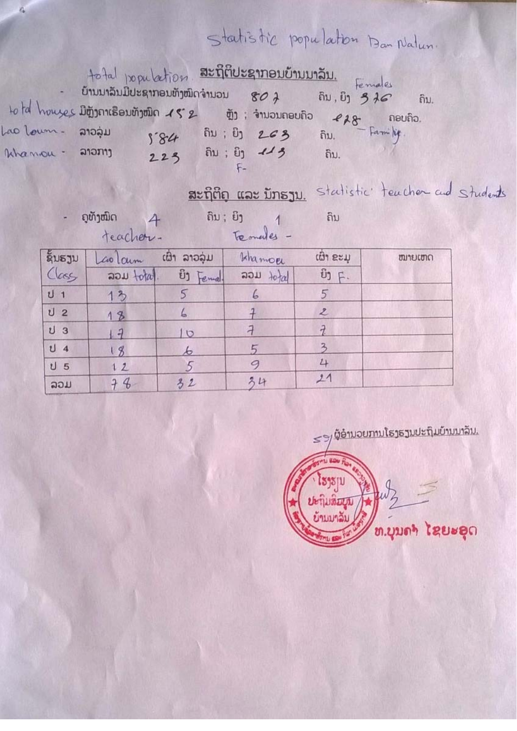## Statistic population Ban Natur.

 $\overline{\mathcal{X}}$ 

 $\overline{\mathbf{3}}$ 

 $4$ 

 $21$ 

|                                    | - ບ້ານນາລິນມີປະຊາກອນທັງໜິດຈຳນວນ $g_0$ $\lambda$ ຄົນ ຍິງ $3$ $\lambda$ ຄົນ.<br>total houses Digitances avigada 152 qui involutation 128 noutro. |                           | total population <del>subsiduar no</del> vements in Females                           |                                                         |                               |  |
|------------------------------------|------------------------------------------------------------------------------------------------------------------------------------------------|---------------------------|---------------------------------------------------------------------------------------|---------------------------------------------------------|-------------------------------|--|
| Lao Loum - 21024<br>Whamou - 212My |                                                                                                                                                | 584                       | $223$ $\hat{a}$ $\hat{b}$ $\hat{c}$ $\hat{d}$ $\hat{d}$ $\hat{d}$ $\hat{b}$ $\hat{c}$ |                                                         |                               |  |
|                                    | giñjourn 4 mi: in 1<br>teacher. Temales-                                                                                                       |                           | ສະຖິຕິຄູ ແລະ ນັກຮຽນ.                                                                  | ຄິນ                                                     | statistic teacher and student |  |
| ຊິນຮຽນ<br>Class                    |                                                                                                                                                | Laolain con 21221 khamoer | $30\mu$ total. $\hat{v}_1$ $\begin{bmatrix} e_{\mu\nu} & 30\mu \end{bmatrix}$         | ເຜົາ ຂະມ<br>$\ddot{\mathbf{U}}$ ] $\ddot{\mathbf{F}}$ . | ໝາຍເຫດ                        |  |
| $U_1$<br>U <sub>2</sub>            | 13<br>18                                                                                                                                       | 5<br>6                    | $6\overline{6}$                                                                       | 5<br>$\mathbf{z}$                                       |                               |  |

 $\overline{a}$ 

 $\overline{5}$ 

9

34

 $10$ 

 $\mathcal{L}$ 

 $5\overline{5}$ 

 $32$ 

is.

 $\upsilon$  3

 $U_4$ 

 $U<sub>5</sub>$ 

ລວມ

 $17$ 

 $18$ 

 $12$ 

 $74$ 

 $\leq$ ງ/ ຜູ້ອຳນວຍການໂຮງຮຽນປະຖົມບ້ານນາລິນ. **BALL ROW FI** ้ โร<sub>่ไรไ</sub><br>ปะกุ๊มสิ้มผู้ม<br>ย้านมาลัม  $w_2 =$ ท.บุบดา โดยะอุด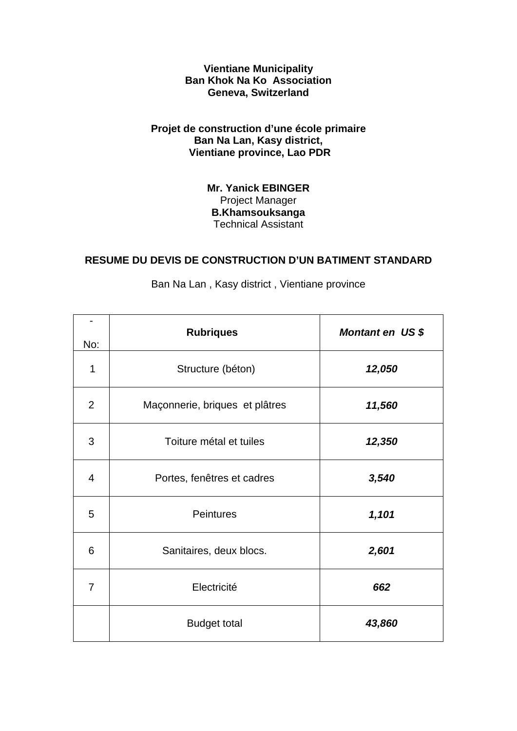**Vientiane Municipality Ban Khok Na Ko Association Geneva, Switzerland** 

#### **Projet de construction d'une école primaire Ban Na Lan, Kasy district, Vientiane province, Lao PDR**

**Mr. Yanick EBINGER**  Project Manager **B.Khamsouksanga**  Technical Assistant

#### **RESUME DU DEVIS DE CONSTRUCTION D'UN BATIMENT STANDARD**

| No:            | <b>Rubriques</b>               | Montant en US \$ |
|----------------|--------------------------------|------------------|
| 1              | Structure (béton)              | 12,050           |
| $\overline{2}$ | Maçonnerie, briques et plâtres | 11,560           |
| 3              | Toiture métal et tuiles        | 12,350           |
| 4              | Portes, fenêtres et cadres     | 3,540            |
| 5              | <b>Peintures</b>               | 1,101            |
| 6              | Sanitaires, deux blocs.        | 2,601            |
| $\overline{7}$ | Electricité                    | 662              |
|                | <b>Budget total</b>            | 43,860           |

Ban Na Lan , Kasy district , Vientiane province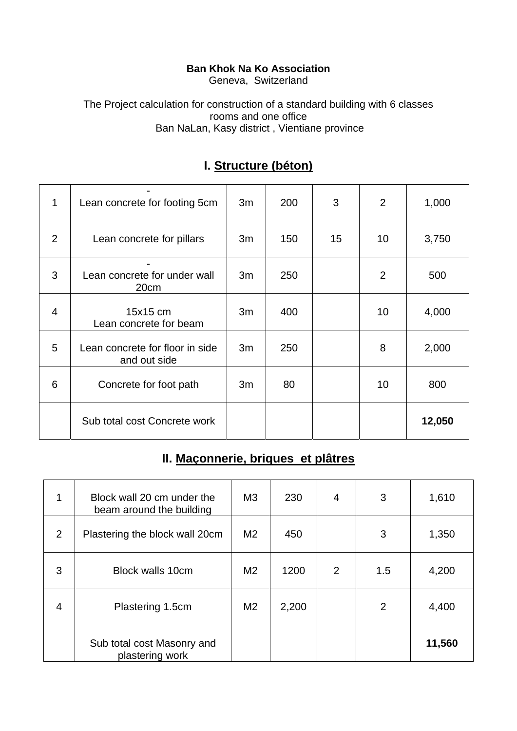#### **Ban Khok Na Ko Association**

Geneva, Switzerland

The Project calculation for construction of a standard building with 6 classes rooms and one office Ban NaLan, Kasy district , Vientiane province

| 1              | Lean concrete for footing 5cm                   | 3m | 200 | 3  | $\overline{2}$ | 1,000  |
|----------------|-------------------------------------------------|----|-----|----|----------------|--------|
| $\overline{2}$ | Lean concrete for pillars                       | 3m | 150 | 15 | 10             | 3,750  |
| 3              | Lean concrete for under wall<br>20cm            | 3m | 250 |    | $\overline{2}$ | 500    |
| $\overline{4}$ | 15x15 cm<br>Lean concrete for beam              | 3m | 400 |    | 10             | 4,000  |
| 5              | Lean concrete for floor in side<br>and out side | 3m | 250 |    | 8              | 2,000  |
| 6              | Concrete for foot path                          | 3m | 80  |    | 10             | 800    |
|                | Sub total cost Concrete work                    |    |     |    |                | 12,050 |

### **I. Structure (béton)**

## **II. Maçonnerie, briques et plâtres**

|   | Block wall 20 cm under the<br>beam around the building | M <sub>3</sub> | 230   | $\overline{4}$ | 3   | 1,610  |
|---|--------------------------------------------------------|----------------|-------|----------------|-----|--------|
| 2 | Plastering the block wall 20cm                         | M <sub>2</sub> | 450   |                | 3   | 1,350  |
| 3 | <b>Block walls 10cm</b>                                | M <sub>2</sub> | 1200  | 2              | 1.5 | 4,200  |
| 4 | Plastering 1.5cm                                       | M <sub>2</sub> | 2,200 |                | 2   | 4,400  |
|   | Sub total cost Masonry and<br>plastering work          |                |       |                |     | 11,560 |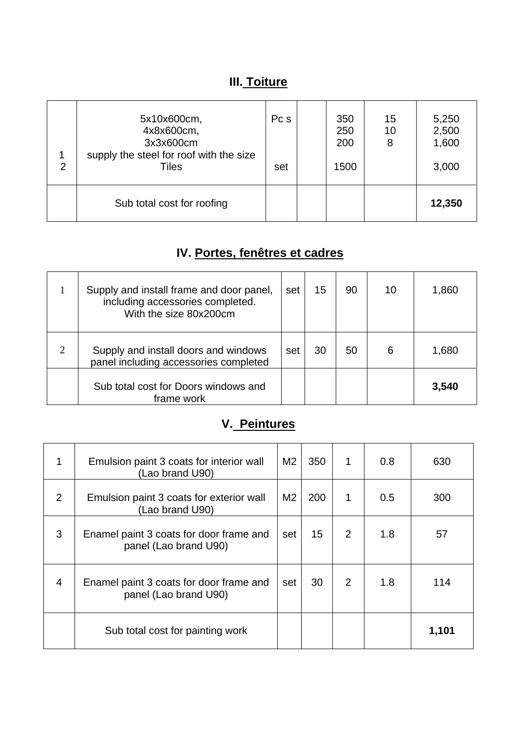## **III. Toiture**

| $\overline{2}$ | 5x10x600cm,<br>4x8x600cm,<br>3x3x600cm<br>supply the steel for roof with the size<br>Tiles | Pc s<br>set | 350<br>250<br>200<br>1500 | 15<br>10<br>8 | 5,250<br>2,500<br>1,600<br>3,000 |
|----------------|--------------------------------------------------------------------------------------------|-------------|---------------------------|---------------|----------------------------------|
|                | Sub total cost for roofing                                                                 |             |                           |               | 12,350                           |

## **IV. Portes, fenêtres et cadres**

|                | Supply and install frame and door panel,<br>including accessories completed.<br>With the size 80x200cm | set | 15 | 90 | 10 | 1,860 |
|----------------|--------------------------------------------------------------------------------------------------------|-----|----|----|----|-------|
| $\overline{2}$ | Supply and install doors and windows<br>panel including accessories completed                          | set | 30 | 50 | 6  | 1,680 |
|                | Sub total cost for Doors windows and<br>frame work                                                     |     |    |    |    | 3,540 |

## **V. Peintures**

| 1              | Emulsion paint 3 coats for interior wall<br>(Lao brand U90)      | M <sub>2</sub> | 350 | 1 | 0.8 | 630   |
|----------------|------------------------------------------------------------------|----------------|-----|---|-----|-------|
| 2              | Emulsion paint 3 coats for exterior wall<br>(Lao brand U90)      | M <sub>2</sub> | 200 | 1 | 0.5 | 300   |
| 3              | Enamel paint 3 coats for door frame and<br>panel (Lao brand U90) | set            | 15  | 2 | 1.8 | 57    |
| $\overline{4}$ | Enamel paint 3 coats for door frame and<br>panel (Lao brand U90) | set            | 30  | 2 | 1.8 | 114   |
|                | Sub total cost for painting work                                 |                |     |   |     | 1,101 |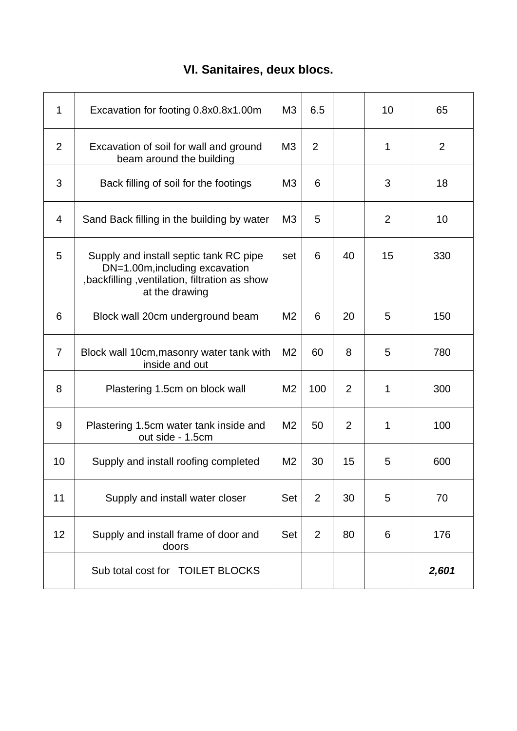## **VI. Sanitaires, deux blocs.**

| $\mathbf 1$    | Excavation for footing 0.8x0.8x1.00m                                                                                                        | M <sub>3</sub> | 6.5            |    | 10 | 65             |
|----------------|---------------------------------------------------------------------------------------------------------------------------------------------|----------------|----------------|----|----|----------------|
| $\overline{2}$ | Excavation of soil for wall and ground<br>beam around the building                                                                          | M <sub>3</sub> | 2              |    | 1  | $\overline{2}$ |
| 3              | Back filling of soil for the footings                                                                                                       | M3             | 6              |    | 3  | 18             |
| 4              | Sand Back filling in the building by water                                                                                                  | M <sub>3</sub> | 5              |    | 2  | 10             |
| 5              | Supply and install septic tank RC pipe<br>DN=1.00m, including excavation<br>,backfilling ,ventilation, filtration as show<br>at the drawing | set            | 6              | 40 | 15 | 330            |
| 6              | Block wall 20cm underground beam                                                                                                            | M <sub>2</sub> | 6              | 20 | 5  | 150            |
| 7              | Block wall 10cm, masonry water tank with<br>inside and out                                                                                  | M <sub>2</sub> | 60             | 8  | 5  | 780            |
| 8              | Plastering 1.5cm on block wall                                                                                                              | M <sub>2</sub> | 100            | 2  | 1  | 300            |
| 9              | Plastering 1.5cm water tank inside and<br>out side - 1.5cm                                                                                  | M <sub>2</sub> | 50             | 2  | 1  | 100            |
| 10             | Supply and install roofing completed                                                                                                        | M2             | 30             | 15 | 5  | 600            |
| 11             | Supply and install water closer                                                                                                             | Set            | 2              | 30 | 5  | 70             |
| 12             | Supply and install frame of door and<br>doors                                                                                               | <b>Set</b>     | $\overline{2}$ | 80 | 6  | 176            |
|                | Sub total cost for TOILET BLOCKS                                                                                                            |                |                |    |    | 2,601          |